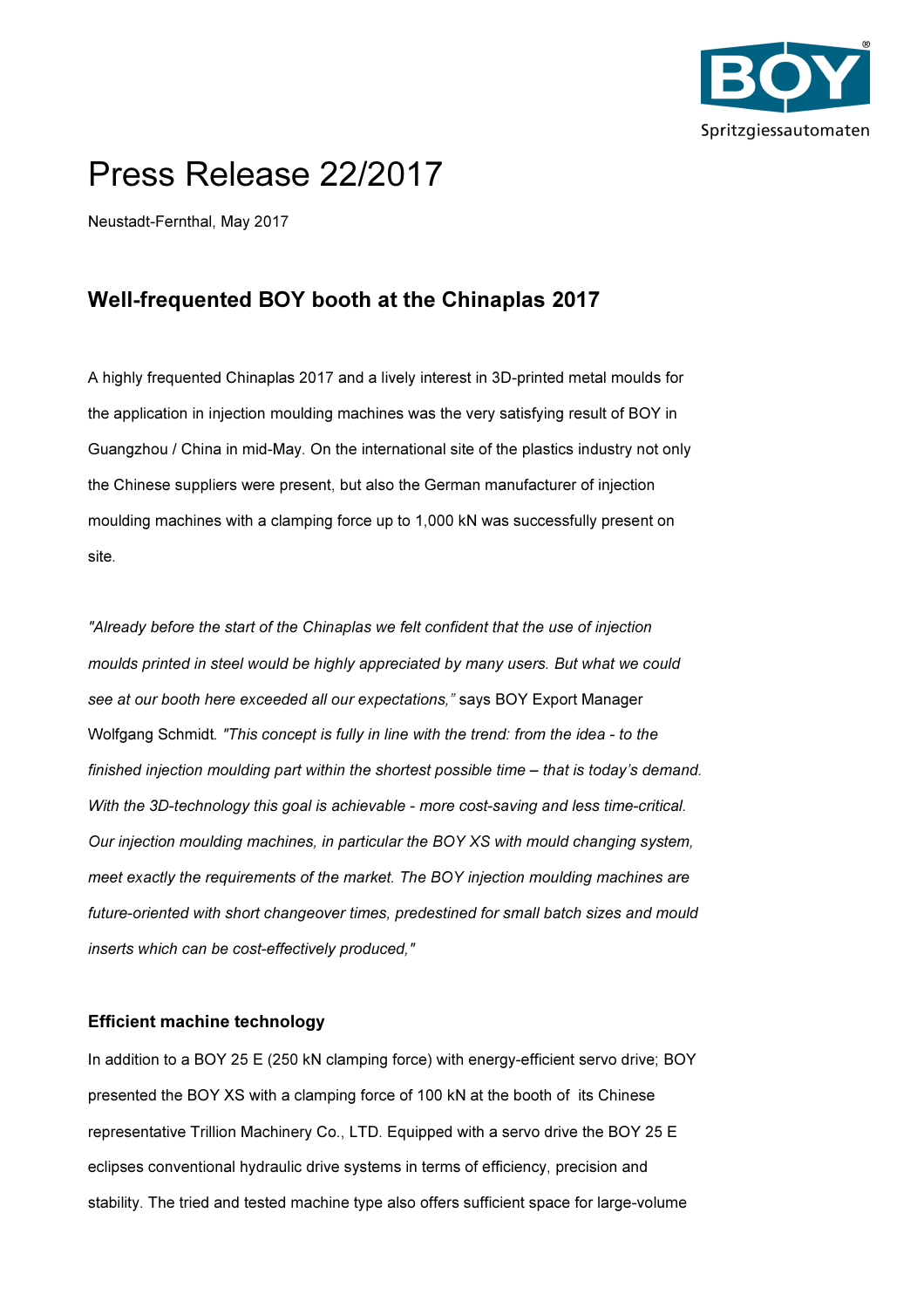

## Press Release 22/2017

Neustadt-Fernthal, May 2017

## Well-frequented BOY booth at the Chinaplas 2017

A highly frequented Chinaplas 2017 and a lively interest in 3D-printed metal moulds for the application in injection moulding machines was the very satisfying result of BOY in Guangzhou / China in mid-May. On the international site of the plastics industry not only the Chinese suppliers were present, but also the German manufacturer of injection moulding machines with a clamping force up to 1,000 kN was successfully present on site.

"Already before the start of the Chinaplas we felt confident that the use of injection moulds printed in steel would be highly appreciated by many users. But what we could see at our booth here exceeded all our expectations," says BOY Export Manager Wolfgang Schmidt. "This concept is fully in line with the trend: from the idea - to the finished injection moulding part within the shortest possible time – that is today's demand. With the 3D-technology this goal is achievable - more cost-saving and less time-critical. Our injection moulding machines, in particular the BOY XS with mould changing system, meet exactly the requirements of the market. The BOY injection moulding machines are future-oriented with short changeover times, predestined for small batch sizes and mould inserts which can be cost-effectively produced,"

## Efficient machine technology

In addition to a BOY 25 E (250 kN clamping force) with energy-efficient servo drive; BOY presented the BOY XS with a clamping force of 100 kN at the booth of its Chinese representative Trillion Machinery Co., LTD. Equipped with a servo drive the BOY 25 E eclipses conventional hydraulic drive systems in terms of efficiency, precision and stability. The tried and tested machine type also offers sufficient space for large-volume